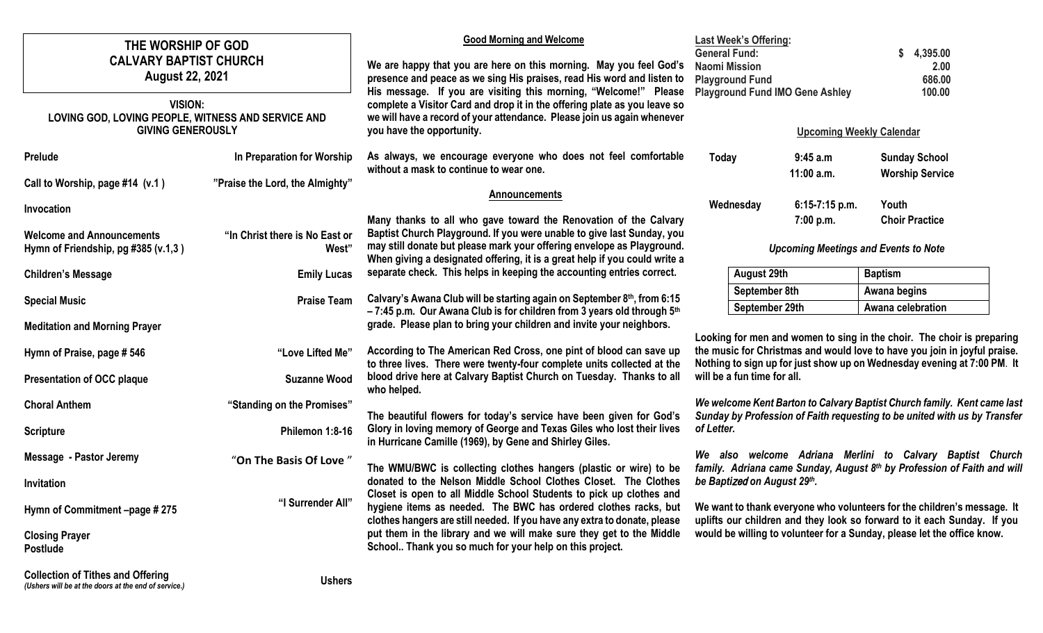| THE WORSHIP OF GOD<br><b>CALVARY BAPTIST CHURCH</b><br><b>August 22, 2021</b>                    |                                                                                               | <b>Good Morning and Welcome</b>                                                                                                                                                                                                                                                                                                                                                                                                                                                                      | <b>Last Week's Offering:</b><br><b>General Fund:</b>                                                                                                                                                                                                                                                                                                                                                 |                        | 4,395.00                                       |  |
|--------------------------------------------------------------------------------------------------|-----------------------------------------------------------------------------------------------|------------------------------------------------------------------------------------------------------------------------------------------------------------------------------------------------------------------------------------------------------------------------------------------------------------------------------------------------------------------------------------------------------------------------------------------------------------------------------------------------------|------------------------------------------------------------------------------------------------------------------------------------------------------------------------------------------------------------------------------------------------------------------------------------------------------------------------------------------------------------------------------------------------------|------------------------|------------------------------------------------|--|
|                                                                                                  |                                                                                               | We are happy that you are here on this morning. May you feel God's<br>presence and peace as we sing His praises, read His word and listen to<br>His message. If you are visiting this morning, "Welcome!" Please                                                                                                                                                                                                                                                                                     | <b>Naomi Mission</b><br>2.00<br>686.00<br><b>Playground Fund</b><br>100.00<br><b>Playground Fund IMO Gene Ashley</b>                                                                                                                                                                                                                                                                                 |                        |                                                |  |
| <b>VISION:</b><br>LOVING GOD, LOVING PEOPLE, WITNESS AND SERVICE AND<br><b>GIVING GENEROUSLY</b> |                                                                                               | complete a Visitor Card and drop it in the offering plate as you leave so<br>we will have a record of your attendance. Please join us again whenever<br>you have the opportunity.                                                                                                                                                                                                                                                                                                                    |                                                                                                                                                                                                                                                                                                                                                                                                      |                        | <b>Upcoming Weekly Calendar</b>                |  |
|                                                                                                  |                                                                                               |                                                                                                                                                                                                                                                                                                                                                                                                                                                                                                      |                                                                                                                                                                                                                                                                                                                                                                                                      |                        |                                                |  |
| Prelude                                                                                          | In Preparation for Worship                                                                    | As always, we encourage everyone who does not feel comfortable<br>without a mask to continue to wear one.                                                                                                                                                                                                                                                                                                                                                                                            | Today                                                                                                                                                                                                                                                                                                                                                                                                | 9:45 a.m<br>11:00 a.m. | <b>Sunday School</b><br><b>Worship Service</b> |  |
| Call to Worship, page #14 (v.1)                                                                  | "Praise the Lord, the Almighty"                                                               | <b>Announcements</b>                                                                                                                                                                                                                                                                                                                                                                                                                                                                                 | Wednesday                                                                                                                                                                                                                                                                                                                                                                                            | $6:15-7:15$ p.m.       | Youth                                          |  |
| Invocation                                                                                       |                                                                                               | Many thanks to all who gave toward the Renovation of the Calvary                                                                                                                                                                                                                                                                                                                                                                                                                                     |                                                                                                                                                                                                                                                                                                                                                                                                      | 7:00 p.m.              | <b>Choir Practice</b>                          |  |
| <b>Welcome and Announcements</b><br>Hymn of Friendship, pg #385 (v.1,3)                          | "In Christ there is No East or<br>West"                                                       | Baptist Church Playground. If you were unable to give last Sunday, you<br>may still donate but please mark your offering envelope as Playground.                                                                                                                                                                                                                                                                                                                                                     | <b>Upcoming Meetings and Events to Note</b>                                                                                                                                                                                                                                                                                                                                                          |                        |                                                |  |
|                                                                                                  |                                                                                               | When giving a designated offering, it is a great help if you could write a                                                                                                                                                                                                                                                                                                                                                                                                                           |                                                                                                                                                                                                                                                                                                                                                                                                      |                        |                                                |  |
| <b>Children's Message</b>                                                                        | <b>Emily Lucas</b>                                                                            | separate check. This helps in keeping the accounting entries correct.                                                                                                                                                                                                                                                                                                                                                                                                                                | August 29th                                                                                                                                                                                                                                                                                                                                                                                          |                        | <b>Baptism</b>                                 |  |
| <b>Special Music</b>                                                                             | Calvary's Awana Club will be starting again on September 8th, from 6:15<br><b>Praise Team</b> | September 8th                                                                                                                                                                                                                                                                                                                                                                                                                                                                                        |                                                                                                                                                                                                                                                                                                                                                                                                      | Awana begins           |                                                |  |
|                                                                                                  |                                                                                               | $-7:45$ p.m. Our Awana Club is for children from 3 years old through $5th$                                                                                                                                                                                                                                                                                                                                                                                                                           | September 29th                                                                                                                                                                                                                                                                                                                                                                                       |                        | Awana celebration                              |  |
| <b>Meditation and Morning Prayer</b>                                                             |                                                                                               | grade. Please plan to bring your children and invite your neighbors.                                                                                                                                                                                                                                                                                                                                                                                                                                 |                                                                                                                                                                                                                                                                                                                                                                                                      |                        |                                                |  |
| Hymn of Praise, page #546                                                                        | "Love Lifted Me"                                                                              | Looking for men and women to sing in the choir. The choir is preparing<br>According to The American Red Cross, one pint of blood can save up<br>the music for Christmas and would love to have you join in joyful praise.<br>to three lives. There were twenty-four complete units collected at the<br>Nothing to sign up for just show up on Wednesday evening at 7:00 PM. It<br>blood drive here at Calvary Baptist Church on Tuesday. Thanks to all<br>will be a fun time for all.<br>who helped. |                                                                                                                                                                                                                                                                                                                                                                                                      |                        |                                                |  |
| <b>Presentation of OCC plaque</b>                                                                | <b>Suzanne Wood</b>                                                                           |                                                                                                                                                                                                                                                                                                                                                                                                                                                                                                      |                                                                                                                                                                                                                                                                                                                                                                                                      |                        |                                                |  |
| <b>Choral Anthem</b>                                                                             | "Standing on the Promises"                                                                    | The beautiful flowers for today's service have been given for God's                                                                                                                                                                                                                                                                                                                                                                                                                                  | We welcome Kent Barton to Calvary Baptist Church family. Kent came last<br>Sunday by Profession of Faith requesting to be united with us by Transfer                                                                                                                                                                                                                                                 |                        |                                                |  |
| <b>Scripture</b>                                                                                 | Philemon 1:8-16                                                                               | Glory in loving memory of George and Texas Giles who lost their lives<br>in Hurricane Camille (1969), by Gene and Shirley Giles.                                                                                                                                                                                                                                                                                                                                                                     | of Letter.                                                                                                                                                                                                                                                                                                                                                                                           |                        |                                                |  |
| Message - Pastor Jeremy                                                                          | "On The Basis Of Love"                                                                        | The WMU/BWC is collecting clothes hangers (plastic or wire) to be                                                                                                                                                                                                                                                                                                                                                                                                                                    | We also welcome Adriana Merlini to Calvary Baptist Church<br>family. Adriana came Sunday, August 8th by Profession of Faith and will<br>be Baptized on August 29th.<br>We want to thank everyone who volunteers for the children's message. It<br>uplifts our children and they look so forward to it each Sunday. If you<br>would be willing to volunteer for a Sunday, please let the office know. |                        |                                                |  |
| Invitation                                                                                       |                                                                                               | donated to the Nelson Middle School Clothes Closet. The Clothes<br>Closet is open to all Middle School Students to pick up clothes and<br>hygiene items as needed. The BWC has ordered clothes racks, but<br>clothes hangers are still needed. If you have any extra to donate, please<br>put them in the library and we will make sure they get to the Middle<br>School Thank you so much for your help on this project.                                                                            |                                                                                                                                                                                                                                                                                                                                                                                                      |                        |                                                |  |
| Hymn of Commitment -page #275                                                                    | "I Surrender All"                                                                             |                                                                                                                                                                                                                                                                                                                                                                                                                                                                                                      |                                                                                                                                                                                                                                                                                                                                                                                                      |                        |                                                |  |
| <b>Closing Prayer</b><br><b>Postlude</b>                                                         |                                                                                               |                                                                                                                                                                                                                                                                                                                                                                                                                                                                                                      |                                                                                                                                                                                                                                                                                                                                                                                                      |                        |                                                |  |
| <b>Collection of Tithes and Offering</b>                                                         | سمطما ا                                                                                       |                                                                                                                                                                                                                                                                                                                                                                                                                                                                                                      |                                                                                                                                                                                                                                                                                                                                                                                                      |                        |                                                |  |

*(Ushers will be at the doors at the end of service.)*